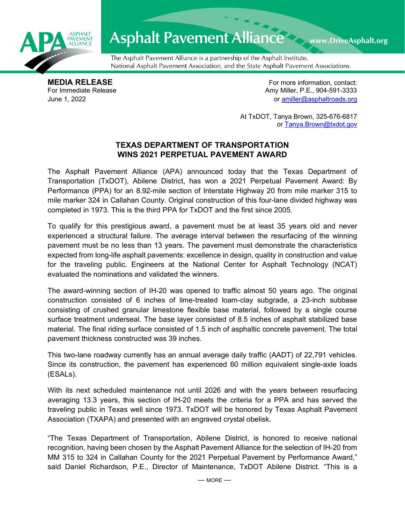

## Asphalt Pavement Alliance Mark DriveAsphalt.org

The Asphalt Pavement Alliance is a partnership of the Asphalt Institute, National Asphalt Pavement Association, and the State Asphalt Pavement Associations.

**MEDIA RELEASE**<br>
For Immediate Release **For more information, contact:**<br>
For Immediate Release **For the Structure of Amy Miller, P.E., 904-591-3333** Amy Miller, P.E., 904-591-3333 June 1, 2022 or [amiller@asphaltroads.org](mailto:amiller@asphaltroads.org)

> At TxDOT, Tanya Brown, 325-676-6817 or [Tanya.Brown@txdot.gov](mailto:Tanya.Brown@txdot.gov)

## **TEXAS DEPARTMENT OF TRANSPORTATION WINS 2021 PERPETUAL PAVEMENT AWARD**

The Asphalt Pavement Alliance (APA) announced today that the Texas Department of Transportation (TxDOT), Abilene District, has won a 2021 Perpetual Pavement Award: By Performance (PPA) for an 8.92-mile section of Interstate Highway 20 from mile marker 315 to mile marker 324 in Callahan County. Original construction of this four-lane divided highway was completed in 1973. This is the third PPA for TxDOT and the first since 2005.

To qualify for this prestigious award, a pavement must be at least 35 years old and never experienced a structural failure. The average interval between the resurfacing of the winning pavement must be no less than 13 years. The pavement must demonstrate the characteristics expected from long-life asphalt pavements: excellence in design, quality in construction and value for the traveling public. Engineers at the National Center for Asphalt Technology (NCAT) evaluated the nominations and validated the winners.

The award-winning section of IH-20 was opened to traffic almost 50 years ago. The original construction consisted of 6 inches of lime-treated loam-clay subgrade, a 23-inch subbase consisting of crushed granular limestone flexible base material, followed by a single course surface treatment underseal. The base layer consisted of 8.5 inches of asphalt stabilized base material. The final riding surface consisted of 1.5 inch of asphaltic concrete pavement. The total pavement thickness constructed was 39 inches.

This two-lane roadway currently has an annual average daily traffic (AADT) of 22,791 vehicles. Since its construction, the pavement has experienced 60 million equivalent single-axle loads (ESALs).

With its next scheduled maintenance not until 2026 and with the years between resurfacing averaging 13.3 years, this section of IH-20 meets the criteria for a PPA and has served the traveling public in Texas well since 1973. TxDOT will be honored by Texas Asphalt Pavement Association (TXAPA) and presented with an engraved crystal obelisk.

"The Texas Department of Transportation, Abilene District, is honored to receive national recognition, having been chosen by the Asphalt Pavement Alliance for the selection of IH-20 from MM 315 to 324 in Callahan County for the 2021 Perpetual Pavement by Performance Award," said Daniel Richardson, P.E., Director of Maintenance, TxDOT Abilene District. "This is a